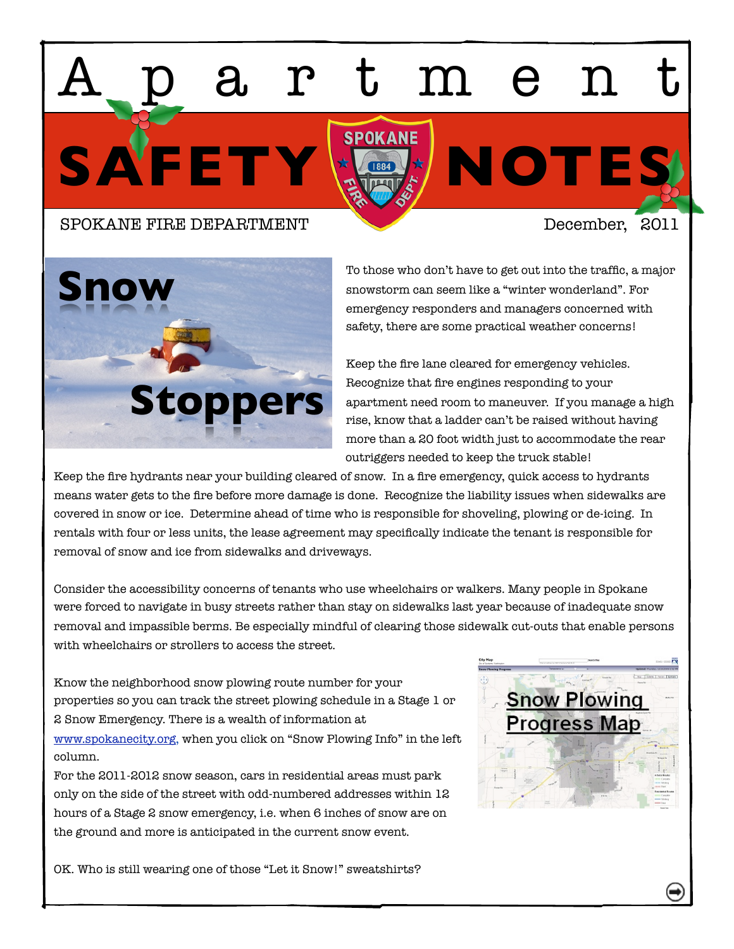# SAFETY X<sup>SPOKANE</sup> NOTES<sup>1</sup> Apartment

# SPOKANE FIRE DEPARTMENT December. 2011



To those who don't have to get out into the traffic, a major snowstorm can seem like a "winter wonderland". For emergency responders and managers concerned with safety, there are some practical weather concerns!

Keep the fire lane cleared for emergency vehicles. Recognize that fire engines responding to your apartment need room to maneuver. If you manage a high rise, know that a ladder can't be raised without having more than a 20 foot width just to accommodate the rear outriggers needed to keep the truck stable!

Keep the fire hydrants near your building cleared of snow. In a fire emergency, quick access to hydrants means water gets to the fire before more damage is done. Recognize the liability issues when sidewalks are covered in snow or ice. Determine ahead of time who is responsible for shoveling, plowing or de-icing. In rentals with four or less units, the lease agreement may specifically indicate the tenant is responsible for removal of snow and ice from sidewalks and driveways.

Consider the accessibility concerns of tenants who use wheelchairs or walkers. Many people in Spokane were forced to navigate in busy streets rather than stay on sidewalks last year because of inadequate snow removal and impassible berms. Be especially mindful of clearing those sidewalk cut-outs that enable persons with wheelchairs or strollers to access the street.

Know the neighborhood snow plowing route number for your properties so you can track the street plowing schedule in a Stage 1 or 2 Snow Emergency. There is a wealth of information at [www.spokanecity.org,](http://www.spokanecity.org) when you click on "Snow Plowing Info" in the left column.

For the 2011-2012 snow season, cars in residential areas must park only on the side of the street with odd-numbered addresses within 12 hours of a Stage 2 snow emergency, i.e. when 6 inches of snow are on the ground and more is anticipated in the current snow event.

OK. Who is still wearing one of those "Let it Snow!" sweatshirts?